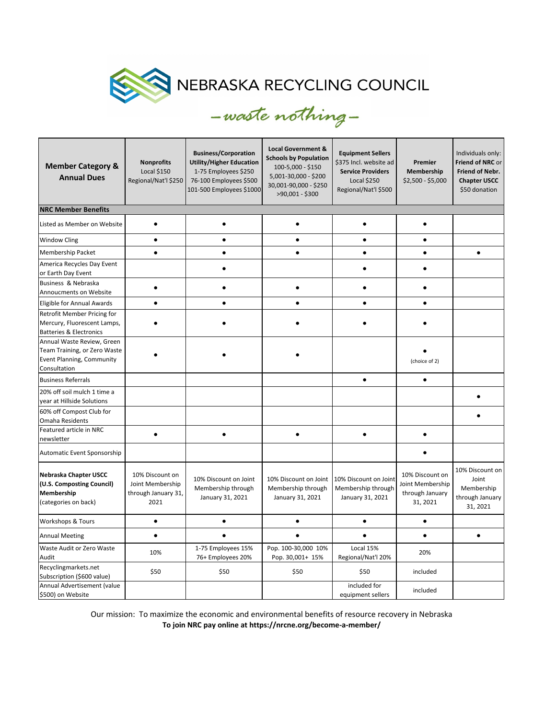

| <b>Member Category &amp;</b><br><b>Annual Dues</b>                                                      | <b>Nonprofits</b><br><b>Local \$150</b><br>Regional/Nat'l \$250    | <b>Business/Corporation</b><br><b>Utility/Higher Education</b><br>1-75 Employees \$250<br>76-100 Employees \$500<br>101-500 Employees \$1000 | <b>Local Government &amp;</b><br><b>Schools by Population</b><br>100-5,000 - \$150<br>5,001-30,000 - \$200<br>30,001-90,000 - \$250<br>>90,001 - \$300 | <b>Equipment Sellers</b><br>\$375 Incl. website ad<br><b>Service Providers</b><br><b>Local \$250</b><br>Regional/Nat'l \$500 | Premier<br>Membership<br>\$2,500 - \$5,000                         | Individuals only:<br>Friend of NRC or<br>Friend of Nebr.<br><b>Chapter USCC</b><br>\$50 donation |  |  |  |  |  |
|---------------------------------------------------------------------------------------------------------|--------------------------------------------------------------------|----------------------------------------------------------------------------------------------------------------------------------------------|--------------------------------------------------------------------------------------------------------------------------------------------------------|------------------------------------------------------------------------------------------------------------------------------|--------------------------------------------------------------------|--------------------------------------------------------------------------------------------------|--|--|--|--|--|
| <b>NRC Member Benefits</b>                                                                              |                                                                    |                                                                                                                                              |                                                                                                                                                        |                                                                                                                              |                                                                    |                                                                                                  |  |  |  |  |  |
| Listed as Member on Website                                                                             | $\bullet$                                                          |                                                                                                                                              |                                                                                                                                                        |                                                                                                                              |                                                                    |                                                                                                  |  |  |  |  |  |
| <b>Window Cling</b>                                                                                     | $\bullet$                                                          | ٠                                                                                                                                            | $\bullet$                                                                                                                                              | $\bullet$                                                                                                                    | $\bullet$                                                          |                                                                                                  |  |  |  |  |  |
| <b>Membership Packet</b>                                                                                | $\bullet$                                                          | $\bullet$                                                                                                                                    | $\bullet$                                                                                                                                              | $\bullet$                                                                                                                    | $\bullet$                                                          | $\bullet$                                                                                        |  |  |  |  |  |
| America Recycles Day Event<br>or Earth Day Event                                                        |                                                                    |                                                                                                                                              |                                                                                                                                                        |                                                                                                                              |                                                                    |                                                                                                  |  |  |  |  |  |
| Business & Nebraska<br>Annoucments on Website                                                           |                                                                    |                                                                                                                                              |                                                                                                                                                        |                                                                                                                              |                                                                    |                                                                                                  |  |  |  |  |  |
| Eligible for Annual Awards                                                                              | $\bullet$                                                          | $\bullet$                                                                                                                                    | $\bullet$                                                                                                                                              | $\bullet$                                                                                                                    | $\bullet$                                                          |                                                                                                  |  |  |  |  |  |
| Retrofit Member Pricing for<br>Mercury, Fluorescent Lamps,<br><b>Batteries &amp; Electronics</b>        |                                                                    |                                                                                                                                              |                                                                                                                                                        |                                                                                                                              |                                                                    |                                                                                                  |  |  |  |  |  |
| Annual Waste Review, Green<br>Team Training, or Zero Waste<br>Event Planning, Community<br>Consultation |                                                                    |                                                                                                                                              |                                                                                                                                                        |                                                                                                                              | (choice of 2)                                                      |                                                                                                  |  |  |  |  |  |
| <b>Business Referrals</b>                                                                               |                                                                    |                                                                                                                                              |                                                                                                                                                        | $\bullet$                                                                                                                    | $\bullet$                                                          |                                                                                                  |  |  |  |  |  |
| 20% off soil mulch 1 time a<br>year at Hillside Solutions                                               |                                                                    |                                                                                                                                              |                                                                                                                                                        |                                                                                                                              |                                                                    |                                                                                                  |  |  |  |  |  |
| 60% off Compost Club for<br>Omaha Residents                                                             |                                                                    |                                                                                                                                              |                                                                                                                                                        |                                                                                                                              |                                                                    |                                                                                                  |  |  |  |  |  |
| Featured article in NRC<br>newsletter                                                                   | $\bullet$                                                          |                                                                                                                                              | $\bullet$                                                                                                                                              |                                                                                                                              |                                                                    |                                                                                                  |  |  |  |  |  |
| Automatic Event Sponsorship                                                                             |                                                                    |                                                                                                                                              |                                                                                                                                                        |                                                                                                                              | $\bullet$                                                          |                                                                                                  |  |  |  |  |  |
| Nebraska Chapter USCC<br>(U.S. Composting Council)<br>Membership<br>(categories on back)                | 10% Discount on<br>Joint Membership<br>through January 31,<br>2021 | 10% Discount on Joint<br>Membership through<br>January 31, 2021                                                                              | 10% Discount on Joint<br>Membership through<br>January 31, 2021                                                                                        | 10% Discount on Joint<br>Membership through<br>January 31, 2021                                                              | 10% Discount on<br>Joint Membership<br>through January<br>31, 2021 | 10% Discount on<br>Joint<br>Membership<br>through January<br>31, 2021                            |  |  |  |  |  |
| <b>Workshops &amp; Tours</b>                                                                            | $\bullet$                                                          |                                                                                                                                              | $\bullet$                                                                                                                                              | $\bullet$                                                                                                                    | $\bullet$                                                          |                                                                                                  |  |  |  |  |  |
| <b>Annual Meeting</b>                                                                                   | $\bullet$                                                          |                                                                                                                                              |                                                                                                                                                        |                                                                                                                              | $\bullet$                                                          | $\bullet$                                                                                        |  |  |  |  |  |
| Waste Audit or Zero Waste<br>Audit                                                                      | 10%                                                                | 1-75 Employees 15%<br>76+ Employees 20%                                                                                                      | Pop. 100-30,000 10%<br>Pop. 30,001+ 15%                                                                                                                | Local 15%<br>Regional/Nat'l 20%                                                                                              | 20%                                                                |                                                                                                  |  |  |  |  |  |
| Recyclingmarkets.net<br>Subscription (\$600 value)                                                      | \$50                                                               | \$50                                                                                                                                         | \$50                                                                                                                                                   | \$50                                                                                                                         | included                                                           |                                                                                                  |  |  |  |  |  |
| Annual Advertisement (value<br>\$500) on Website                                                        |                                                                    |                                                                                                                                              |                                                                                                                                                        | included for<br>equipment sellers                                                                                            | included                                                           |                                                                                                  |  |  |  |  |  |

Our mission: To maximize the economic and environmental benefits of resource recovery in Nebraska **To join NRC pay online at https://nrcne.org/become-a-member/**